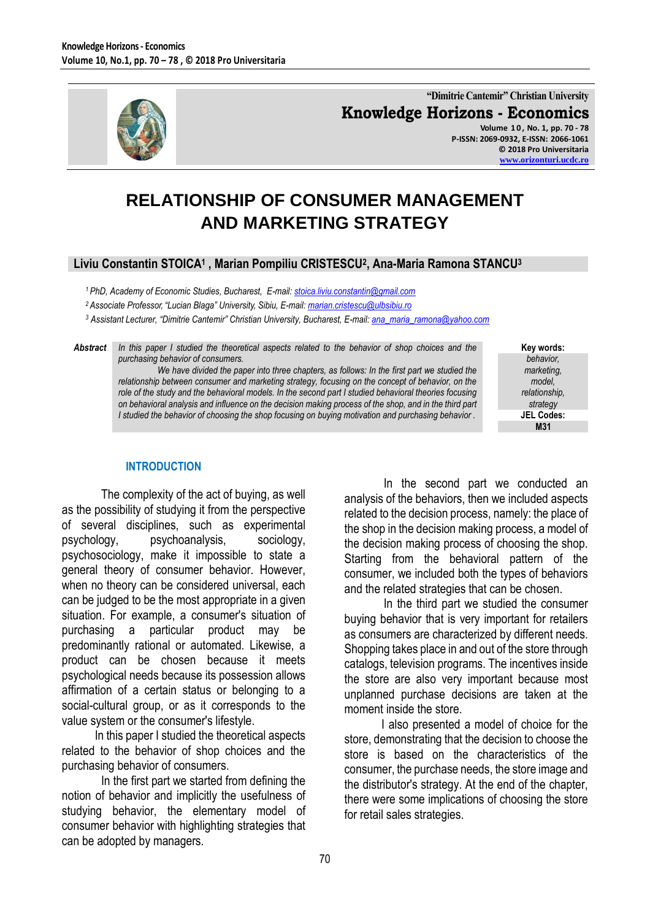

**"Dimitrie Cantemir" Christian University Knowledge Horizons - Economics Volume 1 0 , No. 1, pp. 70 - 78**

**P-ISSN: 2069-0932, E-ISSN: 2066-1061 © 2018 Pro Universitaria [www.orizonturi.ucdc.ro](http://www.orizonturi.ucdc.ro/)**

# **RELATIONSHIP OF CONSUMER MANAGEMENT AND MARKETING STRATEGY**

#### **Liviu Constantin STOICA<sup>1</sup> , Marian Pompiliu CRISTESCU<sup>2</sup> , Ana-Maria Ramona STANCU<sup>3</sup>**

*<sup>1</sup> PhD, Academy of Economic Studies, Bucharest, E-mail[: stoica.liviu.constantin@gmail.com](mailto:stoica.liviu.constantin@gmail.com)*

*<sup>2</sup> Associate Professor, "Lucian Blaga" University, Sibiu, E-mail: [marian.cristescu@ulbsibiu.ro](mailto:marian.cristescu@ulbsibiu.ro)*

*<sup>3</sup> Assistant Lecturer, "Dimitrie Cantemir" Christian University, Bucharest, E-mail[: ana\\_maria\\_ramona@yahoo.com](mailto:ana_maria_ramona@yahoo.com)*

*Abstract In this paper I studied the theoretical aspects related to the behavior of shop choices and the purchasing behavior of consumers.*

*We have divided the paper into three chapters, as follows: In the first part we studied the relationship between consumer and marketing strategy, focusing on the concept of behavior, on the role of the study and the behavioral models. In the second part I studied behavioral theories focusing on behavioral analysis and influence on the decision making process of the shop, and in the third part I studied the behavior of choosing the shop focusing on buying motivation and purchasing behavior .*

**Key words:** *behavior, marketing, model, relationship, strategy* **JEL Codes: M31**

#### **INTRODUCTION**

The complexity of the act of buying, as well as the possibility of studying it from the perspective of several disciplines, such as experimental psychology, psychoanalysis, sociology, psychosociology, make it impossible to state a general theory of consumer behavior. However, when no theory can be considered universal, each can be judged to be the most appropriate in a given situation. For example, a consumer's situation of purchasing a particular product may be predominantly rational or automated. Likewise, a product can be chosen because it meets psychological needs because its possession allows affirmation of a certain status or belonging to a social-cultural group, or as it corresponds to the value system or the consumer's lifestyle.

 In this paper I studied the theoretical aspects related to the behavior of shop choices and the purchasing behavior of consumers.

In the first part we started from defining the notion of behavior and implicitly the usefulness of studying behavior, the elementary model of consumer behavior with highlighting strategies that can be adopted by managers.

In the second part we conducted an analysis of the behaviors, then we included aspects related to the decision process, namely: the place of the shop in the decision making process, a model of the decision making process of choosing the shop. Starting from the behavioral pattern of the consumer, we included both the types of behaviors and the related strategies that can be chosen.

In the third part we studied the consumer buying behavior that is very important for retailers as consumers are characterized by different needs. Shopping takes place in and out of the store through catalogs, television programs. The incentives inside the store are also very important because most unplanned purchase decisions are taken at the moment inside the store.

 I also presented a model of choice for the store, demonstrating that the decision to choose the store is based on the characteristics of the consumer, the purchase needs, the store image and the distributor's strategy. At the end of the chapter, there were some implications of choosing the store for retail sales strategies.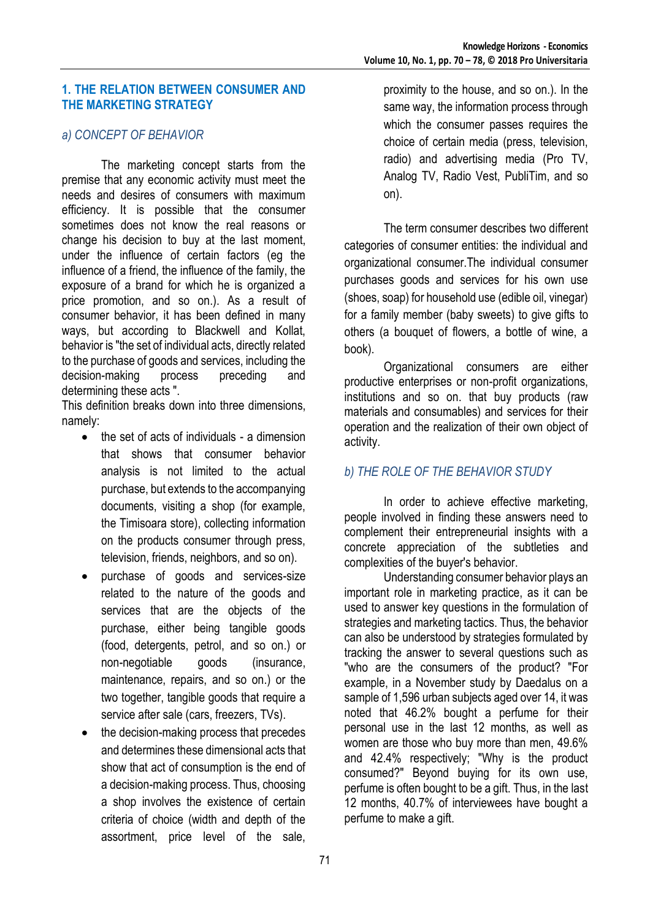#### **1. THE RELATION BETWEEN CONSUMER AND THE MARKETING STRATEGY**

#### *a) CONCEPT OF BEHAVIOR*

The marketing concept starts from the premise that any economic activity must meet the needs and desires of consumers with maximum efficiency. It is possible that the consumer sometimes does not know the real reasons or change his decision to buy at the last moment, under the influence of certain factors (eg the influence of a friend, the influence of the family, the exposure of a brand for which he is organized a price promotion, and so on.). As a result of consumer behavior, it has been defined in many ways, but according to Blackwell and Kollat, behavior is "the set of individual acts, directly related to the purchase of goods and services, including the decision-making process preceding and determining these acts ".

This definition breaks down into three dimensions, namely:

- $\bullet$  the set of acts of individuals a dimension that shows that consumer behavior analysis is not limited to the actual purchase, but extends to the accompanying documents, visiting a shop (for example, the Timisoara store), collecting information on the products consumer through press, television, friends, neighbors, and so on).
- purchase of goods and services-size related to the nature of the goods and services that are the objects of the purchase, either being tangible goods (food, detergents, petrol, and so on.) or non-negotiable goods (insurance, maintenance, repairs, and so on.) or the two together, tangible goods that require a service after sale (cars, freezers, TVs).
- the decision-making process that precedes and determines these dimensional acts that show that act of consumption is the end of a decision-making process. Thus, choosing a shop involves the existence of certain criteria of choice (width and depth of the assortment, price level of the sale,

proximity to the house, and so on.). In the same way, the information process through which the consumer passes requires the choice of certain media (press, television, radio) and advertising media (Pro TV, Analog TV, Radio Vest, PubliTim, and so on).

The term consumer describes two different categories of consumer entities: the individual and organizational consumer.The individual consumer purchases goods and services for his own use (shoes, soap) for household use (edible oil, vinegar) for a family member (baby sweets) to give gifts to others (a bouquet of flowers, a bottle of wine, a book).

Organizational consumers are either productive enterprises or non-profit organizations, institutions and so on. that buy products (raw materials and consumables) and services for their operation and the realization of their own object of activity.

## *b) THE ROLE OF THE BEHAVIOR STUDY*

In order to achieve effective marketing, people involved in finding these answers need to complement their entrepreneurial insights with a concrete appreciation of the subtleties and complexities of the buyer's behavior.

Understanding consumer behavior plays an important role in marketing practice, as it can be used to answer key questions in the formulation of strategies and marketing tactics. Thus, the behavior can also be understood by strategies formulated by tracking the answer to several questions such as "who are the consumers of the product? "For example, in a November study by Daedalus on a sample of 1,596 urban subjects aged over 14, it was noted that 46.2% bought a perfume for their personal use in the last 12 months, as well as women are those who buy more than men, 49.6% and 42.4% respectively; "Why is the product consumed?" Beyond buying for its own use, perfume is often bought to be a gift. Thus, in the last 12 months, 40.7% of interviewees have bought a perfume to make a gift.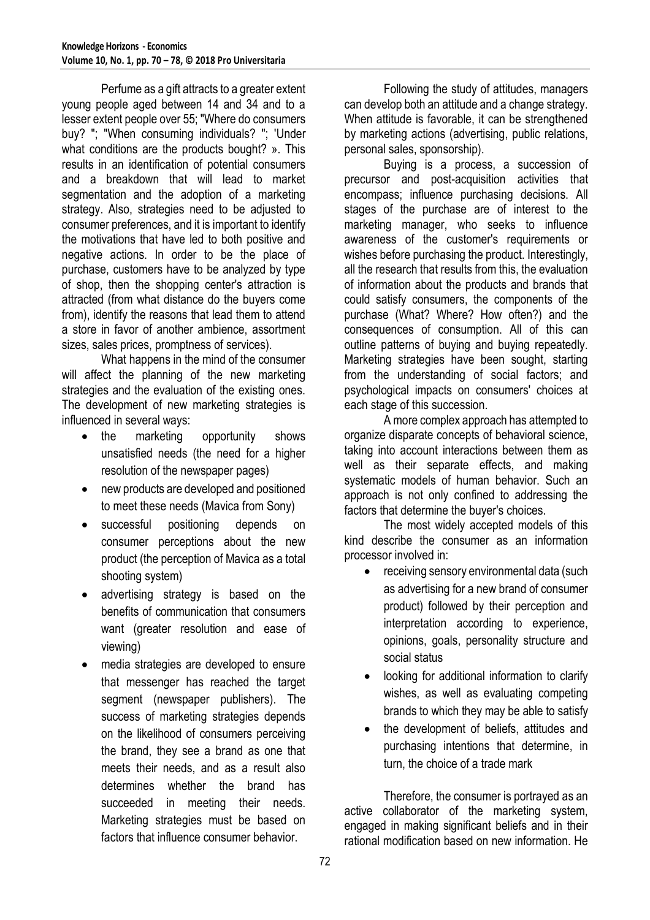Perfume as a gift attracts to a greater extent young people aged between 14 and 34 and to a lesser extent people over 55; "Where do consumers buy? "; "When consuming individuals? "; 'Under what conditions are the products bought? ». This results in an identification of potential consumers and a breakdown that will lead to market segmentation and the adoption of a marketing strategy. Also, strategies need to be adjusted to consumer preferences, and it is important to identify the motivations that have led to both positive and negative actions. In order to be the place of purchase, customers have to be analyzed by type of shop, then the shopping center's attraction is attracted (from what distance do the buyers come from), identify the reasons that lead them to attend a store in favor of another ambience, assortment sizes, sales prices, promptness of services).

What happens in the mind of the consumer will affect the planning of the new marketing strategies and the evaluation of the existing ones. The development of new marketing strategies is influenced in several ways:

- the marketing opportunity shows unsatisfied needs (the need for a higher resolution of the newspaper pages)
- new products are developed and positioned to meet these needs (Mavica from Sony)
- successful positioning depends on consumer perceptions about the new product (the perception of Mavica as a total shooting system)
- advertising strategy is based on the benefits of communication that consumers want (greater resolution and ease of viewing)
- media strategies are developed to ensure that messenger has reached the target segment (newspaper publishers). The success of marketing strategies depends on the likelihood of consumers perceiving the brand, they see a brand as one that meets their needs, and as a result also determines whether the brand has succeeded in meeting their needs. Marketing strategies must be based on factors that influence consumer behavior.

Following the study of attitudes, managers can develop both an attitude and a change strategy. When attitude is favorable, it can be strengthened by marketing actions (advertising, public relations, personal sales, sponsorship).

Buying is a process, a succession of precursor and post-acquisition activities that encompass; influence purchasing decisions. All stages of the purchase are of interest to the marketing manager, who seeks to influence awareness of the customer's requirements or wishes before purchasing the product. Interestingly, all the research that results from this, the evaluation of information about the products and brands that could satisfy consumers, the components of the purchase (What? Where? How often?) and the consequences of consumption. All of this can outline patterns of buying and buying repeatedly. Marketing strategies have been sought, starting from the understanding of social factors; and psychological impacts on consumers' choices at each stage of this succession.

A more complex approach has attempted to organize disparate concepts of behavioral science, taking into account interactions between them as well as their separate effects, and making systematic models of human behavior. Such an approach is not only confined to addressing the factors that determine the buyer's choices.

The most widely accepted models of this kind describe the consumer as an information processor involved in:

- receiving sensory environmental data (such as advertising for a new brand of consumer product) followed by their perception and interpretation according to experience, opinions, goals, personality structure and social status
- looking for additional information to clarify wishes, as well as evaluating competing brands to which they may be able to satisfy
- the development of beliefs, attitudes and purchasing intentions that determine, in turn, the choice of a trade mark

Therefore, the consumer is portrayed as an active collaborator of the marketing system, engaged in making significant beliefs and in their rational modification based on new information. He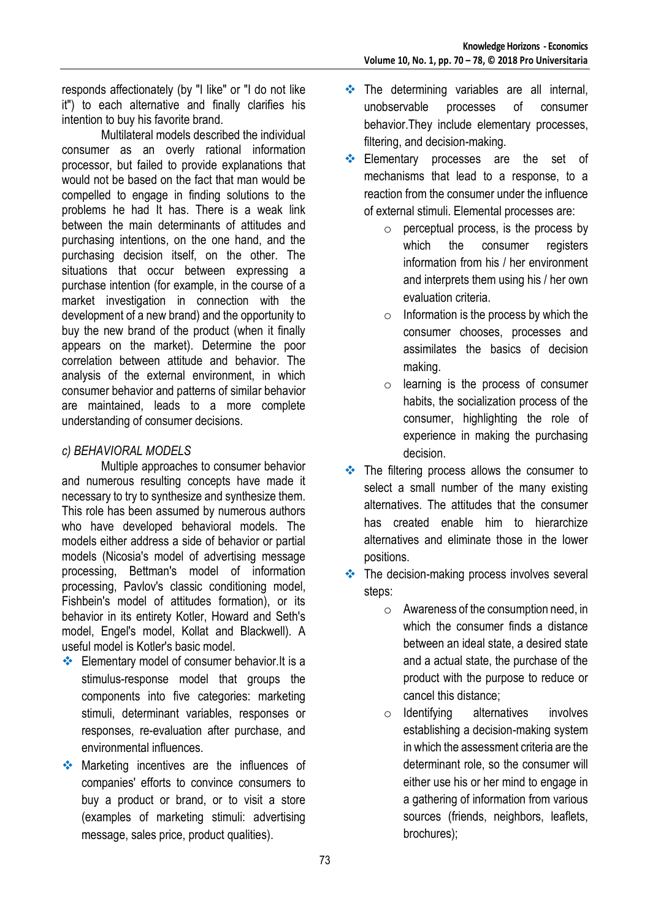responds affectionately (by "I like" or "I do not like it") to each alternative and finally clarifies his intention to buy his favorite brand.

Multilateral models described the individual consumer as an overly rational information processor, but failed to provide explanations that would not be based on the fact that man would be compelled to engage in finding solutions to the problems he had It has. There is a weak link between the main determinants of attitudes and purchasing intentions, on the one hand, and the purchasing decision itself, on the other. The situations that occur between expressing a purchase intention (for example, in the course of a market investigation in connection with the development of a new brand) and the opportunity to buy the new brand of the product (when it finally appears on the market). Determine the poor correlation between attitude and behavior. The analysis of the external environment, in which consumer behavior and patterns of similar behavior are maintained, leads to a more complete understanding of consumer decisions.

#### *c) BEHAVIORAL MODELS*

Multiple approaches to consumer behavior and numerous resulting concepts have made it necessary to try to synthesize and synthesize them. This role has been assumed by numerous authors who have developed behavioral models. The models either address a side of behavior or partial models (Nicosia's model of advertising message processing, Bettman's model of information processing, Pavlov's classic conditioning model, Fishbein's model of attitudes formation), or its behavior in its entirety Kotler, Howard and Seth's model, Engel's model, Kollat and Blackwell). A useful model is Kotler's basic model.

- **Elementary model of consumer behavior.It is a** stimulus-response model that groups the components into five categories: marketing stimuli, determinant variables, responses or responses, re-evaluation after purchase, and environmental influences.
- **Marketing incentives are the influences of** companies' efforts to convince consumers to buy a product or brand, or to visit a store (examples of marketing stimuli: advertising message, sales price, product qualities).
- The determining variables are all internal, unobservable processes of consumer behavior.They include elementary processes, filtering, and decision-making.
- **Elementary processes are the set of** mechanisms that lead to a response, to a reaction from the consumer under the influence of external stimuli. Elemental processes are:
	- $\circ$  perceptual process, is the process by which the consumer registers information from his / her environment and interprets them using his / her own evaluation criteria.
	- $\circ$  Information is the process by which the consumer chooses, processes and assimilates the basics of decision making.
	- $\circ$  learning is the process of consumer habits, the socialization process of the consumer, highlighting the role of experience in making the purchasing decision.
- The filtering process allows the consumer to select a small number of the many existing alternatives. The attitudes that the consumer has created enable him to hierarchize alternatives and eliminate those in the lower positions.
- The decision-making process involves several steps:
	- o Awareness of the consumption need, in which the consumer finds a distance between an ideal state, a desired state and a actual state, the purchase of the product with the purpose to reduce or cancel this distance;
	- o Identifying alternatives involves establishing a decision-making system in which the assessment criteria are the determinant role, so the consumer will either use his or her mind to engage in a gathering of information from various sources (friends, neighbors, leaflets, brochures);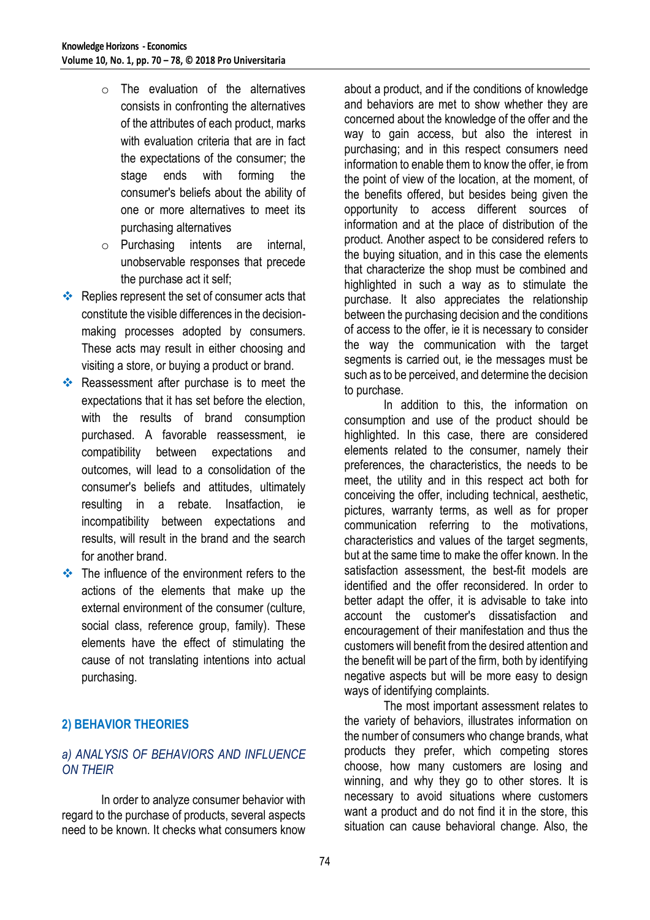- $\circ$  The evaluation of the alternatives consists in confronting the alternatives of the attributes of each product, marks with evaluation criteria that are in fact the expectations of the consumer; the stage ends with forming the consumer's beliefs about the ability of one or more alternatives to meet its purchasing alternatives
- o Purchasing intents are internal, unobservable responses that precede the purchase act it self;
- Replies represent the set of consumer acts that constitute the visible differences in the decisionmaking processes adopted by consumers. These acts may result in either choosing and visiting a store, or buying a product or brand.
- Reassessment after purchase is to meet the expectations that it has set before the election, with the results of brand consumption purchased. A favorable reassessment, ie compatibility between expectations and outcomes, will lead to a consolidation of the consumer's beliefs and attitudes, ultimately resulting in a rebate. Insatfaction, ie incompatibility between expectations and results, will result in the brand and the search for another brand.
- The influence of the environment refers to the actions of the elements that make up the external environment of the consumer (culture, social class, reference group, family). These elements have the effect of stimulating the cause of not translating intentions into actual purchasing.

# **2) BEHAVIOR THEORIES**

## *a) ANALYSIS OF BEHAVIORS AND INFLUENCE ON THEIR*

In order to analyze consumer behavior with regard to the purchase of products, several aspects need to be known. It checks what consumers know about a product, and if the conditions of knowledge and behaviors are met to show whether they are concerned about the knowledge of the offer and the way to gain access, but also the interest in purchasing; and in this respect consumers need information to enable them to know the offer, ie from the point of view of the location, at the moment, of the benefits offered, but besides being given the opportunity to access different sources of information and at the place of distribution of the product. Another aspect to be considered refers to the buying situation, and in this case the elements that characterize the shop must be combined and highlighted in such a way as to stimulate the purchase. It also appreciates the relationship between the purchasing decision and the conditions of access to the offer, ie it is necessary to consider the way the communication with the target segments is carried out, ie the messages must be such as to be perceived, and determine the decision to purchase.

In addition to this, the information on consumption and use of the product should be highlighted. In this case, there are considered elements related to the consumer, namely their preferences, the characteristics, the needs to be meet, the utility and in this respect act both for conceiving the offer, including technical, aesthetic, pictures, warranty terms, as well as for proper communication referring to the motivations, characteristics and values of the target segments, but at the same time to make the offer known. In the satisfaction assessment, the best-fit models are identified and the offer reconsidered. In order to better adapt the offer, it is advisable to take into account the customer's dissatisfaction and encouragement of their manifestation and thus the customers will benefit from the desired attention and the benefit will be part of the firm, both by identifying negative aspects but will be more easy to design ways of identifying complaints.

The most important assessment relates to the variety of behaviors, illustrates information on the number of consumers who change brands, what products they prefer, which competing stores choose, how many customers are losing and winning, and why they go to other stores. It is necessary to avoid situations where customers want a product and do not find it in the store, this situation can cause behavioral change. Also, the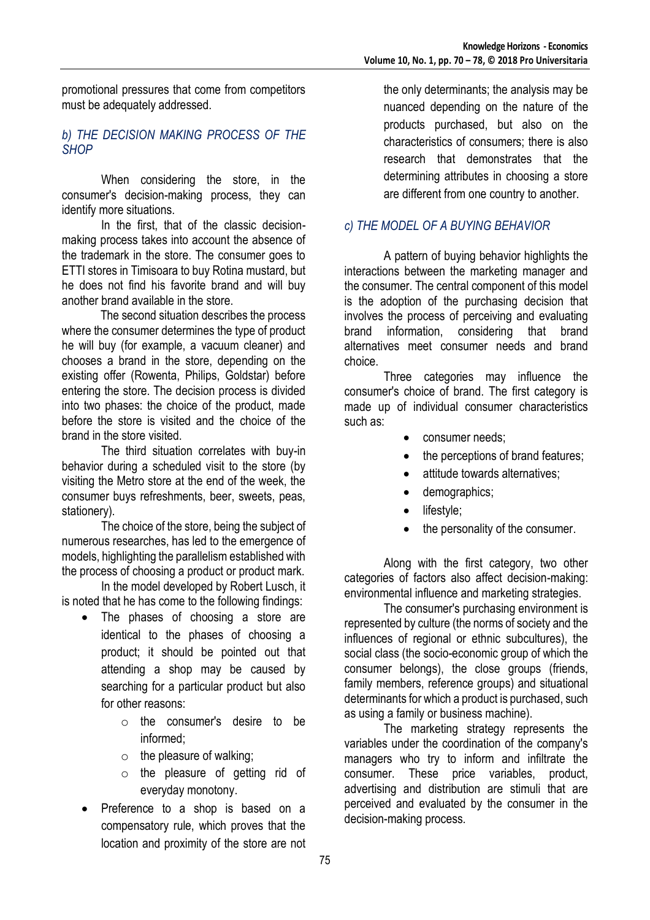promotional pressures that come from competitors must be adequately addressed.

#### *b) THE DECISION MAKING PROCESS OF THE SHOP*

When considering the store, in the consumer's decision-making process, they can identify more situations.

In the first, that of the classic decisionmaking process takes into account the absence of the trademark in the store. The consumer goes to ETTI stores in Timisoara to buy Rotina mustard, but he does not find his favorite brand and will buy another brand available in the store.

 The second situation describes the process where the consumer determines the type of product he will buy (for example, a vacuum cleaner) and chooses a brand in the store, depending on the existing offer (Rowenta, Philips, Goldstar) before entering the store. The decision process is divided into two phases: the choice of the product, made before the store is visited and the choice of the brand in the store visited.

The third situation correlates with buy-in behavior during a scheduled visit to the store (by visiting the Metro store at the end of the week, the consumer buys refreshments, beer, sweets, peas, stationery).

The choice of the store, being the subject of numerous researches, has led to the emergence of models, highlighting the parallelism established with the process of choosing a product or product mark.

In the model developed by Robert Lusch, it is noted that he has come to the following findings:

- The phases of choosing a store are identical to the phases of choosing a product; it should be pointed out that attending a shop may be caused by searching for a particular product but also for other reasons:
	- o the consumer's desire to be informed;
	- $\circ$  the pleasure of walking;
	- o the pleasure of getting rid of everyday monotony.
- Preference to a shop is based on a compensatory rule, which proves that the location and proximity of the store are not

the only determinants; the analysis may be nuanced depending on the nature of the products purchased, but also on the characteristics of consumers; there is also research that demonstrates that the determining attributes in choosing a store are different from one country to another.

## *c) THE MODEL OF A BUYING BEHAVIOR*

A pattern of buying behavior highlights the interactions between the marketing manager and the consumer. The central component of this model is the adoption of the purchasing decision that involves the process of perceiving and evaluating brand information, considering that brand alternatives meet consumer needs and brand choice.

Three categories may influence the consumer's choice of brand. The first category is made up of individual consumer characteristics such as:

- consumer needs;
- the perceptions of brand features;
- attitude towards alternatives:
- demographics;
- lifestyle;
- the personality of the consumer.

Along with the first category, two other categories of factors also affect decision-making: environmental influence and marketing strategies.

The consumer's purchasing environment is represented by culture (the norms of society and the influences of regional or ethnic subcultures), the social class (the socio-economic group of which the consumer belongs), the close groups (friends, family members, reference groups) and situational determinants for which a product is purchased, such as using a family or business machine).

The marketing strategy represents the variables under the coordination of the company's managers who try to inform and infiltrate the consumer. These price variables, product, advertising and distribution are stimuli that are perceived and evaluated by the consumer in the decision-making process.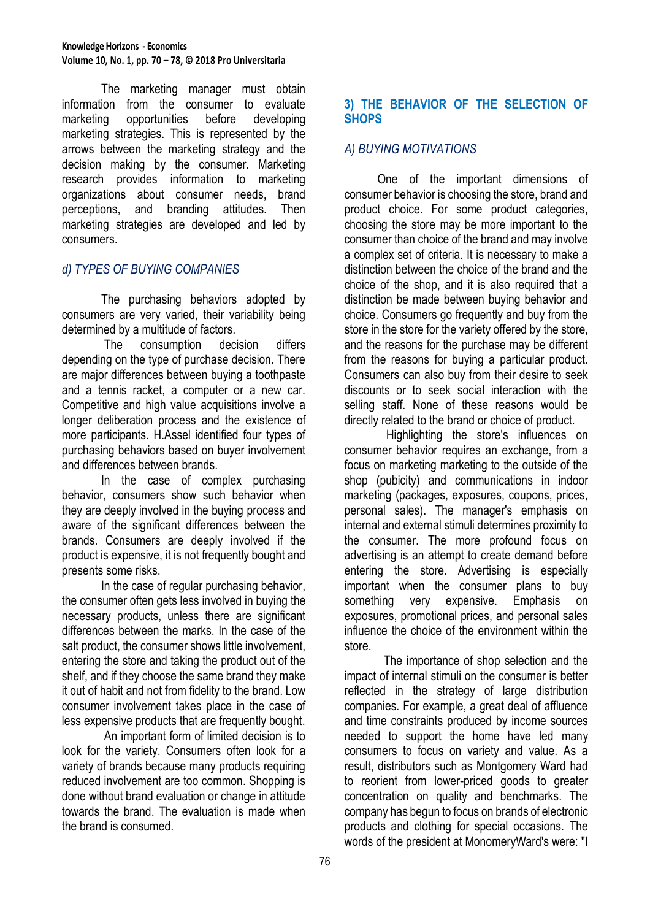The marketing manager must obtain information from the consumer to evaluate marketing opportunities before developing marketing strategies. This is represented by the arrows between the marketing strategy and the decision making by the consumer. Marketing research provides information to marketing organizations about consumer needs, brand perceptions, and branding attitudes. Then marketing strategies are developed and led by consumers.

#### *d) TYPES OF BUYING COMPANIES*

The purchasing behaviors adopted by consumers are very varied, their variability being determined by a multitude of factors.

The consumption decision differs depending on the type of purchase decision. There are major differences between buying a toothpaste and a tennis racket, a computer or a new car. Competitive and high value acquisitions involve a longer deliberation process and the existence of more participants. H.Assel identified four types of purchasing behaviors based on buyer involvement and differences between brands.

In the case of complex purchasing behavior, consumers show such behavior when they are deeply involved in the buying process and aware of the significant differences between the brands. Consumers are deeply involved if the product is expensive, it is not frequently bought and presents some risks.

In the case of regular purchasing behavior, the consumer often gets less involved in buying the necessary products, unless there are significant differences between the marks. In the case of the salt product, the consumer shows little involvement, entering the store and taking the product out of the shelf, and if they choose the same brand they make it out of habit and not from fidelity to the brand. Low consumer involvement takes place in the case of less expensive products that are frequently bought.

An important form of limited decision is to look for the variety. Consumers often look for a variety of brands because many products requiring reduced involvement are too common. Shopping is done without brand evaluation or change in attitude towards the brand. The evaluation is made when the brand is consumed.

#### **3) THE BEHAVIOR OF THE SELECTION OF SHOPS**

#### *A) BUYING MOTIVATIONS*

 One of the important dimensions of consumer behavior is choosing the store, brand and product choice. For some product categories, choosing the store may be more important to the consumer than choice of the brand and may involve a complex set of criteria. It is necessary to make a distinction between the choice of the brand and the choice of the shop, and it is also required that a distinction be made between buying behavior and choice. Consumers go frequently and buy from the store in the store for the variety offered by the store, and the reasons for the purchase may be different from the reasons for buying a particular product. Consumers can also buy from their desire to seek discounts or to seek social interaction with the selling staff. None of these reasons would be directly related to the brand or choice of product.

 Highlighting the store's influences on consumer behavior requires an exchange, from a focus on marketing marketing to the outside of the shop (pubicity) and communications in indoor marketing (packages, exposures, coupons, prices, personal sales). The manager's emphasis on internal and external stimuli determines proximity to the consumer. The more profound focus on advertising is an attempt to create demand before entering the store. Advertising is especially important when the consumer plans to buy something very expensive. Emphasis on exposures, promotional prices, and personal sales influence the choice of the environment within the store.

The importance of shop selection and the impact of internal stimuli on the consumer is better reflected in the strategy of large distribution companies. For example, a great deal of affluence and time constraints produced by income sources needed to support the home have led many consumers to focus on variety and value. As a result, distributors such as Montgomery Ward had to reorient from lower-priced goods to greater concentration on quality and benchmarks. The company has begun to focus on brands of electronic products and clothing for special occasions. The words of the president at MonomeryWard's were: "I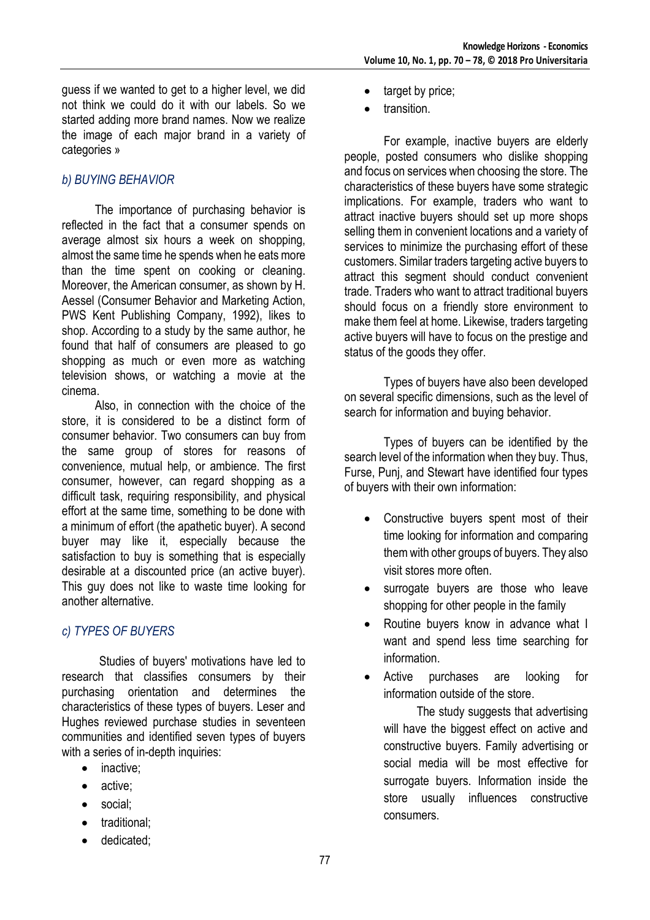guess if we wanted to get to a higher level, we did not think we could do it with our labels. So we started adding more brand names. Now we realize the image of each major brand in a variety of categories »

# *b) BUYING BEHAVIOR*

 The importance of purchasing behavior is reflected in the fact that a consumer spends on average almost six hours a week on shopping, almost the same time he spends when he eats more than the time spent on cooking or cleaning. Moreover, the American consumer, as shown by H. Aessel (Consumer Behavior and Marketing Action, PWS Kent Publishing Company, 1992), likes to shop. According to a study by the same author, he found that half of consumers are pleased to go shopping as much or even more as watching television shows, or watching a movie at the cinema.

 Also, in connection with the choice of the store, it is considered to be a distinct form of consumer behavior. Two consumers can buy from the same group of stores for reasons of convenience, mutual help, or ambience. The first consumer, however, can regard shopping as a difficult task, requiring responsibility, and physical effort at the same time, something to be done with a minimum of effort (the apathetic buyer). A second buyer may like it, especially because the satisfaction to buy is something that is especially desirable at a discounted price (an active buyer). This guy does not like to waste time looking for another alternative.

## *c) TYPES OF BUYERS*

 Studies of buyers' motivations have led to research that classifies consumers by their purchasing orientation and determines the characteristics of these types of buyers. Leser and Hughes reviewed purchase studies in seventeen communities and identified seven types of buyers with a series of in-depth inquiries:

- inactive;
- active:
- social:
- traditional:
- dedicated;
- target by price;
- transition.

For example, inactive buyers are elderly people, posted consumers who dislike shopping and focus on services when choosing the store. The characteristics of these buyers have some strategic implications. For example, traders who want to attract inactive buyers should set up more shops selling them in convenient locations and a variety of services to minimize the purchasing effort of these customers. Similar traders targeting active buyers to attract this segment should conduct convenient trade. Traders who want to attract traditional buyers should focus on a friendly store environment to make them feel at home. Likewise, traders targeting active buyers will have to focus on the prestige and status of the goods they offer.

Types of buyers have also been developed on several specific dimensions, such as the level of search for information and buying behavior.

Types of buyers can be identified by the search level of the information when they buy. Thus, Furse, Punj, and Stewart have identified four types of buyers with their own information:

- Constructive buyers spent most of their time looking for information and comparing them with other groups of buyers. They also visit stores more often.
- surrogate buyers are those who leave shopping for other people in the family
- Routine buyers know in advance what I want and spend less time searching for information.
- Active purchases are looking for information outside of the store.

 The study suggests that advertising will have the biggest effect on active and constructive buyers. Family advertising or social media will be most effective for surrogate buyers. Information inside the store usually influences constructive consumers.